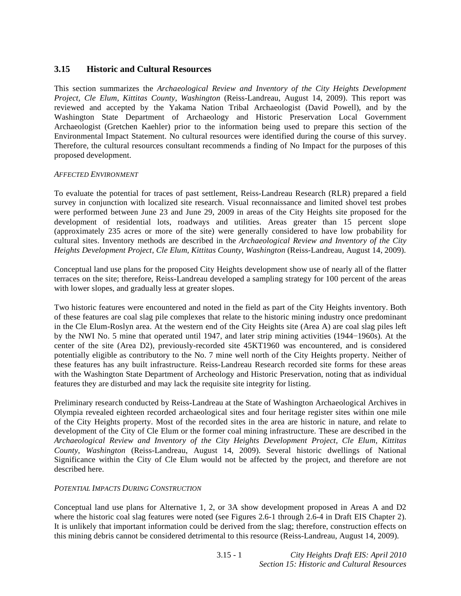# **3.15 Historic and Cultural Resources**

This section summarizes the *Archaeological Review and Inventory of the City Heights Development Project, Cle Elum, Kittitas County, Washington* (Reiss-Landreau, August 14, 2009). This report was reviewed and accepted by the Yakama Nation Tribal Archaeologist (David Powell), and by the Washington State Department of Archaeology and Historic Preservation Local Government Archaeologist (Gretchen Kaehler) prior to the information being used to prepare this section of the Environmental Impact Statement. No cultural resources were identified during the course of this survey. Therefore, the cultural resources consultant recommends a finding of No Impact for the purposes of this proposed development.

# *AFFECTED ENVIRONMENT*

To evaluate the potential for traces of past settlement, Reiss-Landreau Research (RLR) prepared a field survey in conjunction with localized site research. Visual reconnaissance and limited shovel test probes were performed between June 23 and June 29, 2009 in areas of the City Heights site proposed for the development of residential lots, roadways and utilities. Areas greater than 15 percent slope (approximately 235 acres or more of the site) were generally considered to have low probability for cultural sites. Inventory methods are described in the *Archaeological Review and Inventory of the City Heights Development Project, Cle Elum, Kittitas County, Washington* (Reiss-Landreau, August 14, 2009).

Conceptual land use plans for the proposed City Heights development show use of nearly all of the flatter terraces on the site; therefore, Reiss-Landreau developed a sampling strategy for 100 percent of the areas with lower slopes, and gradually less at greater slopes.

Two historic features were encountered and noted in the field as part of the City Heights inventory. Both of these features are coal slag pile complexes that relate to the historic mining industry once predominant in the Cle Elum-Roslyn area. At the western end of the City Heights site (Area A) are coal slag piles left by the NWI No. 5 mine that operated until 1947, and later strip mining activities (1944–1960s). At the center of the site (Area D2), previously-recorded site 45KT1960 was encountered, and is considered potentially eligible as contributory to the No. 7 mine well north of the City Heights property. Neither of these features has any built infrastructure. Reiss-Landreau Research recorded site forms for these areas with the Washington State Department of Archeology and Historic Preservation, noting that as individual features they are disturbed and may lack the requisite site integrity for listing.

Preliminary research conducted by Reiss-Landreau at the State of Washington Archaeological Archives in Olympia revealed eighteen recorded archaeological sites and four heritage register sites within one mile of the City Heights property. Most of the recorded sites in the area are historic in nature, and relate to development of the City of Cle Elum or the former coal mining infrastructure. These are described in the *Archaeological Review and Inventory of the City Heights Development Project, Cle Elum, Kittitas County, Washington* (Reiss-Landreau, August 14, 2009). Several historic dwellings of National Significance within the City of Cle Elum would not be affected by the project, and therefore are not described here.

# *POTENTIAL IMPACTS DURING CONSTRUCTION*

Conceptual land use plans for Alternative 1, 2, or 3A show development proposed in Areas A and D2 where the historic coal slag features were noted (see Figures 2.6-1 through 2.6-4 in Draft EIS Chapter 2). It is unlikely that important information could be derived from the slag; therefore, construction effects on this mining debris cannot be considered detrimental to this resource (Reiss-Landreau, August 14, 2009).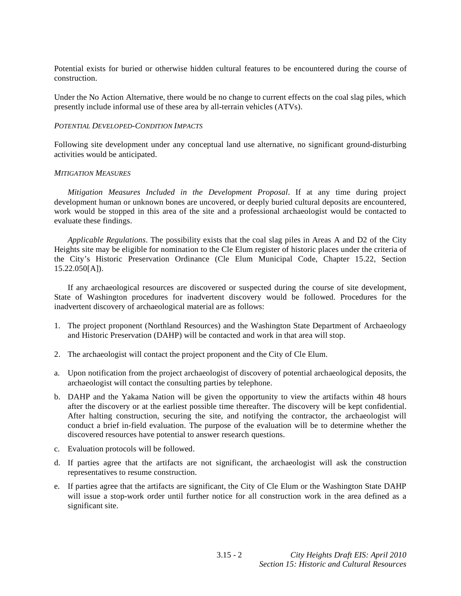Potential exists for buried or otherwise hidden cultural features to be encountered during the course of construction.

Under the No Action Alternative, there would be no change to current effects on the coal slag piles, which presently include informal use of these area by all-terrain vehicles (ATVs).

# *POTENTIAL DEVELOPED-CONDITION IMPACTS*

Following site development under any conceptual land use alternative, no significant ground-disturbing activities would be anticipated.

#### *MITIGATION MEASURES*

*Mitigation Measures Included in the Development Proposal*. If at any time during project development human or unknown bones are uncovered, or deeply buried cultural deposits are encountered, work would be stopped in this area of the site and a professional archaeologist would be contacted to evaluate these findings.

*Applicable Regulations*. The possibility exists that the coal slag piles in Areas A and D2 of the City Heights site may be eligible for nomination to the Cle Elum register of historic places under the criteria of the City's Historic Preservation Ordinance (Cle Elum Municipal Code, Chapter 15.22, Section 15.22.050[A]).

 If any archaeological resources are discovered or suspected during the course of site development, State of Washington procedures for inadvertent discovery would be followed. Procedures for the inadvertent discovery of archaeological material are as follows:

- 1. The project proponent (Northland Resources) and the Washington State Department of Archaeology and Historic Preservation (DAHP) will be contacted and work in that area will stop.
- 2. The archaeologist will contact the project proponent and the City of Cle Elum.
- a. Upon notification from the project archaeologist of discovery of potential archaeological deposits, the archaeologist will contact the consulting parties by telephone.
- b. DAHP and the Yakama Nation will be given the opportunity to view the artifacts within 48 hours after the discovery or at the earliest possible time thereafter. The discovery will be kept confidential. After halting construction, securing the site, and notifying the contractor, the archaeologist will conduct a brief in-field evaluation. The purpose of the evaluation will be to determine whether the discovered resources have potential to answer research questions.
- c. Evaluation protocols will be followed.
- d. If parties agree that the artifacts are not significant, the archaeologist will ask the construction representatives to resume construction.
- e. If parties agree that the artifacts are significant, the City of Cle Elum or the Washington State DAHP will issue a stop-work order until further notice for all construction work in the area defined as a significant site.